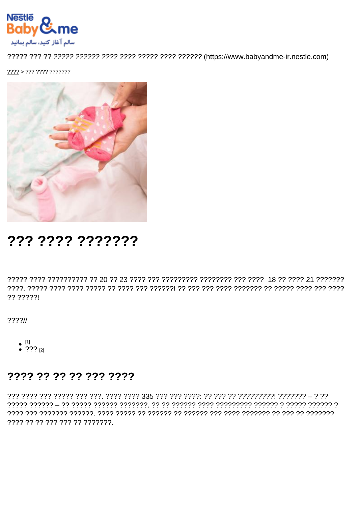$2222 > 222$   $2222$   $222222$ 

# ??? ???? ???????

?? ?????!

 $777711$ 

•  $^{[1]}$ <br>•  $^{[2]}$   $^{[2]}$ 

#### 7777 77 77 77 777 7777

??? ???? ??? ????? ??? ???. ???? ???? 335 ??? ??? ????: ?? ??? ?? ????????! ??????? - ? ?? ???? ?? ?? ??? ??? ?? ????????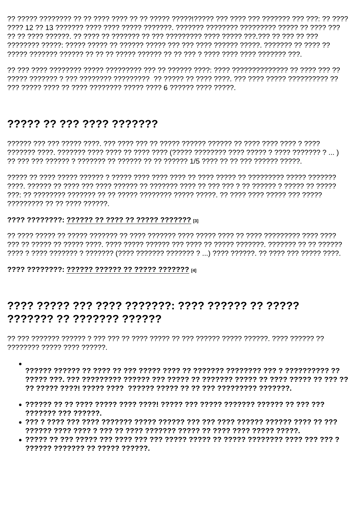רְרָרְ רְרָ יִרְרָ רְרָךְ רְרָרְרְרָרָ רְרָךְ רְרָרָ רְרָךְ רְרָרְרְוְרְרְרָךְ רְרָרְרָ רְרָ רְרָ רְרָרְךָ רְרָרָ רְרָבְרָ רְרָרְרָרְרָךְ בְּרָרְבְרָה בְּר ַרְרַךְ רְרַבְרַרְרָךָ רִרְרָךְ רְרָבָךְ רְרָבָךָ רְרָבְרָךְ רִךְ רִךְ רְרַבְרָךְ רְרָבְרָךָ רְרָבְרָךָ רְרָבְרָבָל הַעֲבְרָבָל הַ

### 77777 77 777 7777 7777777

777777777 77 77 7777 777777

#### 

 $??\ ? ? ? ? ? ? ? ? ? ? ? ? ? ? ? ? ? ? ? ? ? ? ? ? ? ? ? ? ? ? ? ? ? ?$ 

## ??????? ???????? ??????

???????? ????? ???? ??????

- רר רררררררררר ר ררר רררררררר ררררררר רר רורר לררר הרורר לרר רר הררר רך הררררך רררור
- 
- 
-